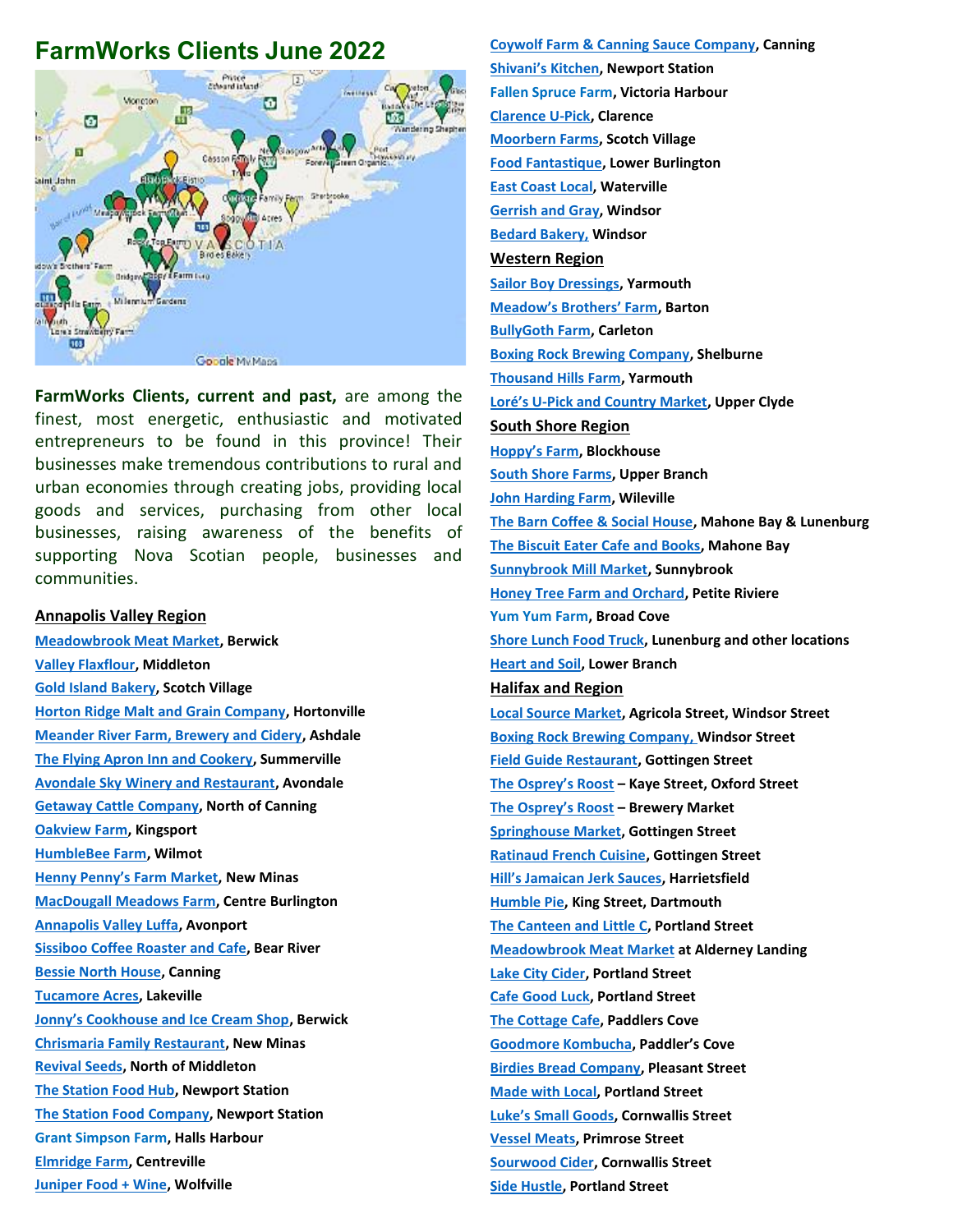# **FarmWorks Clients June 2022**



**FarmWorks Clients, current and past,** are among the finest, most energetic, enthusiastic and motivated entrepreneurs to be found in this province! Their businesses make tremendous contributions to rural and urban economies through creating jobs, providing local goods and services, purchasing from other local businesses, raising awareness of the benefits of supporting Nova Scotian people, businesses and communities.

#### **Annapolis Valley Region**

**[Meadowbrook Meat Market,](https://farmworks.ca/annapolis-valley/meadowbrook-meat-market/) Berwick [Valley Flaxflour,](https://farmworks.ca/annapolis-valley/valley-flaxflour-3/) Middleton [Gold Island Bakery,](https://farmworks.ca/annapolis-valley/gold-island-bakery/) Scotch Village [Horton Ridge Malt and Grain Company,](https://farmworks.ca/annapolis-valley/horton-ridge-malt-grain-company/) Hortonville [Meander River Farm, Brewery and Cidery,](https://farmworks.ca/annapolis-valley/meander-river-farm/) Ashdale [The Flying Apron Inn and Cookery,](https://farmworks.ca/annapolis-valley/the-flying-apron-inn-and-cookery/) Summerville [Avondale Sky Winery and Restaurant,](https://farmworks.ca/annapolis-valley/avondale-sky-winery/) Avondale [Getaway Cattle](https://farmworks.ca/annapolis-valley/getaway-farm/) Company, North of Canning [Oakview Farm,](https://farmworks.ca/annapolis-valley/oakview-farm-kingsport/) Kingsport [HumbleBee Farm,](https://farmworks.ca/annapolis-valley/humblebee-farm/) Wilmot [Henny Penny's Farm Market](https://farmworks.ca/annapolis-valley/henny-pennys-farm-market/), New Minas [MacDougall Meadows Farm,](https://farmworks.ca/annapolis-valley/macdougall-meadows/) Centre Burlington [Annapolis Valley Luffa,](https://farmworks.ca/annapolis-valley/annapolis-valley-luffa/) Avonport [Sissiboo Coffee Roaster and Cafe,](https://farmworks.ca/sissiboo-coffee-roaster-and-cafe-bear-river-and-annapolis-royal-2/) Bear River [Bessie North House,](https://farmworks.ca/annapolis-valley/bessie-north-house/) Canning [Tucamore Acres,](https://farmworks.ca/tucamore-acres-lakeville/) Lakeville [Jonny's Cookhouse and Ice Cream Shop](https://farmworks.ca/annapolis-valley/jonnys-cookhouse-and-ice-cream-shop-berwick/), Berwick [Chrismaria Family Restaurant,](https://farmworks.ca/annapolis-valley/the-haligonian-cafe-bistro/) New Minas [Revival Seeds,](https://farmworks.ca/annapolis-valley/revival-seeds/) North of Middleton [The Station Food Hub,](https://farmworks.ca/the-station-food-hub-newport-station/) Newport Station [The Station Food Company,](https://farmworks.ca/the-station-food-hub-newport-station/) Newport Station Grant Simpson Farm, Halls Harbour [Elmridge Farm,](https://www.facebook.com/elmridgefarm) Centreville [Juniper Food + Wine,](https://www.juniperfoodandwine.com/) Wolfville**

**[Coywolf Farm & Canning Sauce Company,](https://www.facebook.com/CoywolfFarm) Canning [Shivani's Kitchen](https://shivaniskitchen.ca/), Newport Station Fallen Spruce Farm, Victoria Harbour [Clarence U-Pick,](https://www.facebook.com/Clarence-U-Pick-487121414977558/) Clarence [Moorbern Farms,](https://moorbern.weebly.com/) Scotch Village [Food Fantastique,](https://foodfantastique.ca/) Lower Burlington [East Coast Local,](https://eastcoastlocal.ca/) Waterville [Gerrish and Gray,](https://www.facebook.com/gerrishandgray) Windsor [Bedard Bakery,](https://www.facebook.com/bedardbakery) Windsor Western Region [Sailor Boy Dressings,](https://farmworks.ca/western-region/vincent-dressings/) Yarmouth [Meadow's Brothers' Farm](https://www.facebook.com/Meadows-Brothers-Farm-1589571221277645), Barton [BullyGoth Farm,](https://farmworks.ca/western-region/bullygoth-farms/) Carleton [Boxing Rock Brewing Company,](https://farmworks.ca/western-region/boxing-rock-brewery/) Shelburne [Thousand Hills Farm,](https://farmworks.ca/western-region/thousand-hills-farm/) Yarmouth Loré's U[-Pick and Country Market,](https://farmworks.ca/western-region/lore-farms/) Upper Clyde South Shore Region [Hoppy's Farm](https://farmworks.ca/south-shore-regio/hoppys-farm/), Blockhouse [South Shore Farms,](https://farmworks.ca/south-shore-regio/south-shore-farms/) Upper Branch [John Harding Farm,](https://farmworks.ca/harding-farm-wileville/) Wileville [The Barn Coffee & Social House,](https://farmworks.ca/south-shore-regio/the-barn/) Mahone Bay & Lunenburg [The Biscuit Eater Cafe and Books,](https://farmworks.ca/south-shore-regio/the-biscuit-eater-cafe-bookstore/) Mahone Bay [Sunnybrook Mill Market,](https://farmworks.ca/sunnybrook-mill-sunnybrook/) Sunnybrook [Honey Tree Farm and Orchard,](https://www.facebook.com/honeytreefarmandorchard) Petite Riviere Yum Yum Farm, Broad Cove [Shore Lunch Food Truck,](https://www.instagram.com/shore.lunch/) Lunenburg and other locations [Heart and Soil,](https://www.facebook.com/heartandsoilfarmns) Lower Branch Halifax and Region [Local Source Market,](https://farmworks.ca/halifax-and-region/local-source-market-catering-and-bakery/) Agricola Street, Windsor Street [Boxing Rock Brewing Company,](https://farmworks.ca/western-region/boxing-rock-brewery/) Windsor Street [Field Guide Restaurant,](https://farmworks.ca/halifax-and-region/field-guide/) Gottingen Street [The](https://farmworks.ca/getaway-meat-market-hydrostone/) Osprey's Roost – Kaye Street, Oxford Street [The](https://farmworks.ca/getaway-meat-market-hydrostone/) [Osprey's Roost](https://farmworks.ca/getaway-meat-market-hydrostone/) – Brewery Market [Springhouse](https://farmworks.ca/halifax-and-region/fruition/) Market, Gottingen Street [Ratinaud French Cuisine,](https://farmworks.ca/halifax-and-region/charcuterie-ratinaud-french-cuisine/) Gottingen Street [Hill's Jamaican Jerk Sauces](https://farmworks.ca/hills-jamaican-jerk-sauce/), Harrietsfield [Humble Pie,](https://farmworks.ca/halifax-and-region/humble-pie-kitchen/) King Street, Dartmouth [The Canteen and Little C,](https://farmworks.ca/halifax-and-region/the-canteen/) Portland Street [Meadowbrook Meat Market](https://farmworks.ca/meadowbrook-meat-market-alderney-landing/) at Alderney Landing [Lake City Cider,](https://farmworks.ca/lake-city-cider-portland-street/) Portland Street [Cafe Good Luck,](https://farmworks.ca/cafe-good-luck-portland-street/) Portland Street [The Cottage](https://farmworks.ca/the-cottage-paddlers-cove/) Cafe, Paddlers Cove [Goodmore Kombucha,](https://farmworks.ca/goodmore-kombucha-dartmouth/) Paddler's Cove [Birdies Bread Company,](https://farmworks.ca/halifax-and-region/birdies-bread-co/) Pleasant Street [Made with Local,](https://farmworks.ca/made-with-local-dartmouth/) Portland Street [Luke's Small Goods](https://www.lukessmallgoods.com/), Cornwallis Street [Vessel](https://farmworks.ca/halifax-and-region/studio-east/) [Meats,](https://farmworks.ca/halifax-and-region/studio-east/) Primrose Street [Sourwood Cider,](https://www.sourwoodcider.com/) Cornwallis Street [Side Hustle,](https://www.sidehustlesnackbar.com/) Portland Street**